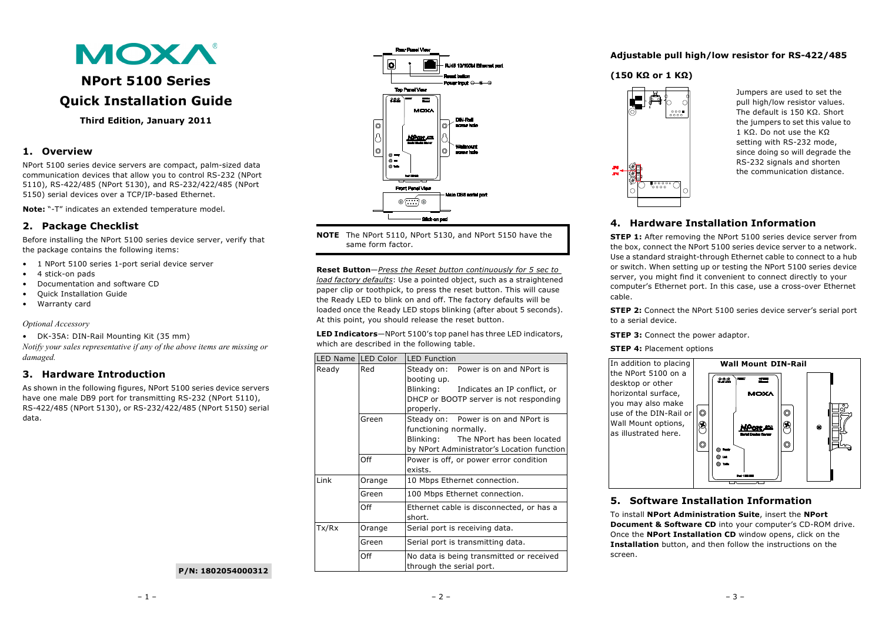

# **NPort 5100 Series Quick Installation Guide**

### **Third Edition, January 2011**

## **1. Overview**

NPort 5100 series device servers are compact, palm-sized data communication devices that allow you to control RS-232 (NPort 5110), RS-422/485 (NPort 5130), and RS-232/422/485 (NPort 5150) serial devices over a TCP/IP-based Ethernet.

**Note:** "-T" indicates an extended temperature model.

# **2. Package Checklist**

Before installing the NPort 5100 series device server, verify that the package contains the following items:

- 1 NPort 5100 series 1-port serial device server
- 4 stick-on pads
- Documentation and software CD
- Quick Installation Guide
- Warranty card

### *Optional Accessory*

• DK-35A: DIN-Rail Mounting Kit (35 mm)

*Notify your sales representative if any of the above items are missing or damaged.*

# **3. Hardware Introduction**

As shown in the following figures, NPort 5100 series device servers have one male DB9 port for transmitting RS-232 (NPort 5110), RS-422/485 (NPort 5130), or RS-232/422/485 (NPort 5150) serial data.



**NOTE** The NPort 5110, NPort 5130, and NPort 5150 have the same form factor.

**Reset Button**—*Press the Reset button continuously for 5 sec to load factory defaults*: Use a pointed object, such as a straightened paper clip or toothpick, to press the reset button. This will cause the Ready LED to blink on and off. The factory defaults will be loaded once the Ready LED stops blinking (after about 5 seconds). At this point, you should release the reset button.

**LED Indicators**—NPort 5100's top panel has three LED indicators, which are described in the following table.

| LED Name LED Color |                                            | <b>LED Function</b>                                                  |  |  |  |
|--------------------|--------------------------------------------|----------------------------------------------------------------------|--|--|--|
| Ready              | Red                                        | Steady on: Power is on and NPort is<br>booting up.                   |  |  |  |
|                    |                                            | Blinking: Indicates an IP conflict, or                               |  |  |  |
|                    |                                            | DHCP or BOOTP server is not responding                               |  |  |  |
|                    | properly.                                  |                                                                      |  |  |  |
|                    | Green                                      | Steady on: Power is on and NPort is                                  |  |  |  |
|                    |                                            | functioning normally.                                                |  |  |  |
|                    |                                            | Blinking: The NPort has been located                                 |  |  |  |
|                    | by NPort Administrator's Location function |                                                                      |  |  |  |
|                    | Off                                        | Power is off, or power error condition                               |  |  |  |
|                    |                                            | exists.                                                              |  |  |  |
| Link               | Orange                                     | 10 Mbps Ethernet connection.                                         |  |  |  |
|                    | Green                                      | 100 Mbps Ethernet connection.                                        |  |  |  |
|                    | Off                                        | Ethernet cable is disconnected, or has a<br>short.                   |  |  |  |
| Tx/Rx              | Orange                                     | Serial port is receiving data.                                       |  |  |  |
|                    | Green                                      | Serial port is transmitting data.                                    |  |  |  |
|                    | Off                                        | No data is being transmitted or received<br>through the serial port. |  |  |  |

### **Adjustable pull high/low resistor for RS-422/485**

### **(150 KΩ or 1 KΩ)**



Jumpers are used to set the pull high/low resistor values. The default is 150 KQ. Short the jumpers to set this value to 1 KΩ. Do not use the KΩ setting with RS-232 mode, since doing so will degrade the RS-232 signals and shorten the communication distance.

# **4. Hardware Installation Information**

**STEP 1:** After removing the NPort 5100 series device server from the box, connect the NPort 5100 series device server to a network. Use a standard straight-through Ethernet cable to connect to a hub or switch. When setting up or testing the NPort 5100 series device server, you might find it convenient to connect directly to your computer's Ethernet port. In this case, use a cross-over Ethernet cable.

**STEP 2:** Connect the NPort 5100 series device server's serial port to a serial device.

**STEP 3: Connect the power adaptor.** 

#### **STEP 4: Placement options**



# **5. Software Installation Information**

To install **NPort Administration Suite**, insert the **NPort Document & Software CD** into your computer's CD-ROM drive. Once the **NPort Installation CD** window opens, click on the **Installation** button, and then follow the instructions on the screen.

**P/N: 1802054000312**